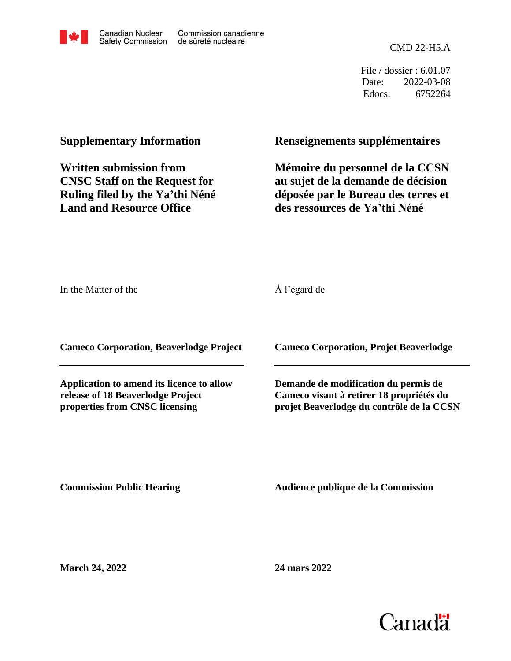

CMD 22-H5.A

File / dossier : 6.01.07 Date: 2022-03-08 Edocs: 6752264

# **Supplementary Information**

**Written submission from CNSC Staff on the Request for Ruling filed by the Ya'thi Néné Land and Resource Office**

## **Renseignements supplémentaires**

**Mémoire du personnel de la CCSN au sujet de la demande de décision déposée par le Bureau des terres et des ressources de Ya'thi Néné**

In the Matter of the

## À l'égard de

**Cameco Corporation, Beaverlodge Project**

**Application to amend its licence to allow release of 18 Beaverlodge Project properties from CNSC licensing**

**Cameco Corporation, Projet Beaverlodge**

**Demande de modification du permis de Cameco visant à retirer 18 propriétés du projet Beaverlodge du contrôle de la CCSN**

**Commission Public Hearing**

**Audience publique de la Commission** 

**March 24, 2022**

**24 mars 2022**

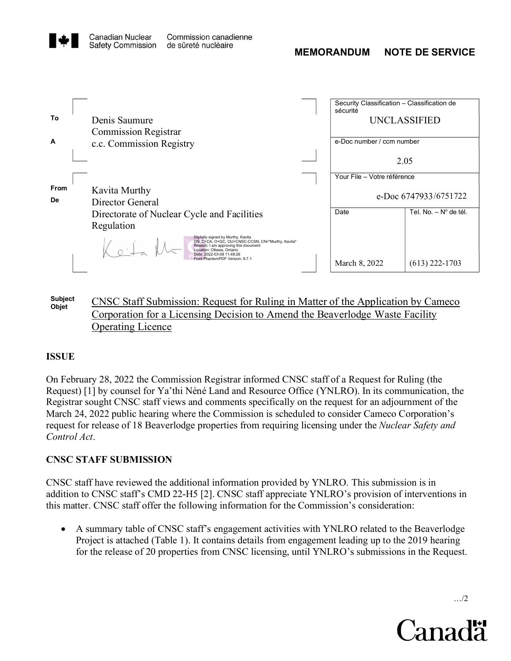



Subject CNSC Staff Submission: Request for Ruling in Matter of the Application by Cameco<br>Objet Corporation for a Licensing Decision to Amend the Beaverlodge Waste Facility Operating Licence

## ISSUE

On February 28, 2022 theCommission Registrar informed CNSC staff of a Request for Ruling (the Request) [1] by counsel for Ya'thi Néné Land and Resource Office (YNLRO). In its communication, the Registrar sought CNSC staff views and comments specifically on therequest for an adjournment of the March 24, 2022 public hearing where the Commission is scheduled to consider Cameco Corporation's request for release of 18 Beaverlodge properties from requiring licensing under the *Nuclear Safety and* Control Act.

#### CNSC STAFF SUBMISSION

CNSC staff have reviewed the additional information provided by YNLRO. This submission is in addition to CNSC staff's CMD 22-H5 [2]. CNSC staff appreciate YNLRO's provision of interventions in this matter. CNSC staff offer the following information for the Commission's consideration:

 A summary table of CNSC staff's engagement activities with YNLRO related to the Beaverlodge Project is attached (Table 1). It contains details from engagement leading up to the 2019 hearing for the release of 20 properties from CNSC licensing, until YNLRO's submissions in the Request.

…/2

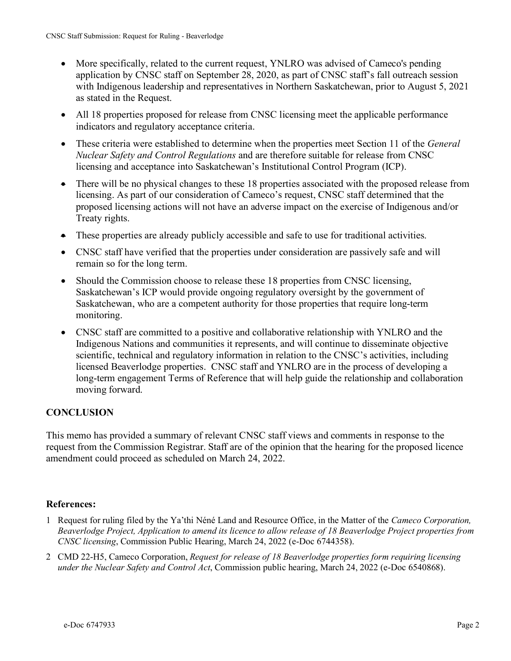- More specifically, related to the current request, YNLRO was advised of Cameco's pending application by CNSC staff on September 28, 2020, as part of CNSC staff's fall outreach session with Indigenous leadership and representatives in Northern Saskatchewan, prior to August 5, 2021 as stated in the Request.
- All 18 properties proposed for release from CNSC licensing meet the applicable performance indicators and regulatory acceptance criteria.
- These criteria were established to determine when the properties meet Section 11 of the *General* Nuclear Safety and Control Regulations and are therefore suitable for release from CNSC licensing and acceptance into Saskatchewan's Institutional Control Program (ICP).
- There will be no physical changes to these 18 properties associated with the proposed release from licensing. As part of our consideration of Cameco's request, CNSC staff determined that the proposed licensing actions will not have an adverse impact on the exercise of Indigenous and/or Treaty rights.
- These properties are already publicly accessible and safe to use for traditional activities.
- CNSC staff have verified that the properties under consideration are passively safe and will remain so for the long term.
- Should the Commission choose to release these 18 properties from CNSC licensing, Saskatchewan's ICP would provide ongoing regulatory oversight by the government of Saskatchewan, who are a competent authority for those properties that require long-term monitoring.
- CNSC staff are committed to a positive and collaborative relationship with YNLRO and the Indigenous Nations and communities it represents, and will continue to disseminate objective scientific, technical and regulatory information in relation to the CNSC's activities, including licensed Beaverlodge properties. CNSC staff and YNLRO are in the process of developing a long-term engagement Terms of Reference that will help guide the relationship and collaboration moving forward.

## **CONCLUSION**

memo has provided a summary of relevant CNSC staff views and comments in response to the<br>est from the Commission Registrar. Staff are of the opinion that the hearing for the proposed licence<br>ndment could proceed as schedul This memo has provided a summary of relevant CNSC staff views and comments in response to the request from the Commission Registrar. Staff are of the opinion that the hearing for the proposed licence amendment could proceed as scheduled on March 24, 2022.

## References:

- 1 Request for ruling filed by the Ya'thi Néné Land and Resource Office, in the Matter of the Cameco Corporation, Beaverlodge Project, Application to amend its licence to allow release of 18 Beaverlodge Project properties from CNSC licensing, Commission Public Hearing, March 24, 2022 (e-Doc 6744358).
- 2 CMD 22-H5, Cameco Corporation, Request for release of 18 Beaverlodge properties form requiring licensing under the Nuclear Safety and Control Act, Commission public hearing, March 24, 2022 (e-Doc 6540868).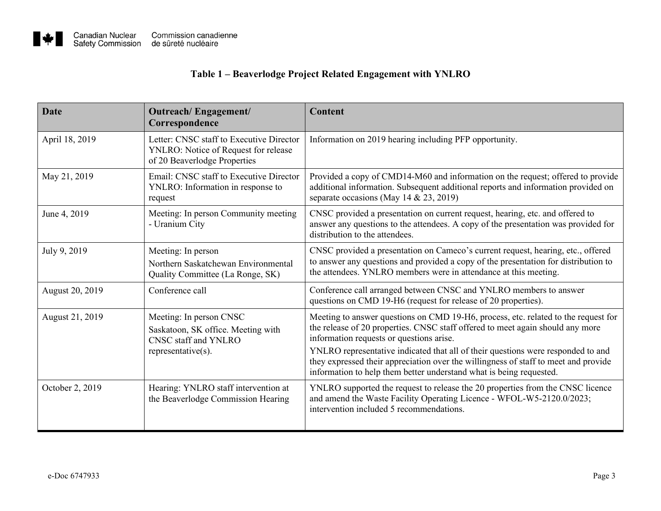## **Table 1 – Beaverlodge Project Related Engagement with YNLRO**

| <b>Date</b>     | Outreach/Engagement/<br>Correspondence                                                                           | Content                                                                                                                                                                                                                                                                                                                                                                                                                                                            |
|-----------------|------------------------------------------------------------------------------------------------------------------|--------------------------------------------------------------------------------------------------------------------------------------------------------------------------------------------------------------------------------------------------------------------------------------------------------------------------------------------------------------------------------------------------------------------------------------------------------------------|
| April 18, 2019  | Letter: CNSC staff to Executive Director<br>YNLRO: Notice of Request for release<br>of 20 Beaverlodge Properties | Information on 2019 hearing including PFP opportunity.                                                                                                                                                                                                                                                                                                                                                                                                             |
| May 21, 2019    | Email: CNSC staff to Executive Director<br>YNLRO: Information in response to<br>request                          | Provided a copy of CMD14-M60 and information on the request; offered to provide<br>additional information. Subsequent additional reports and information provided on<br>separate occasions (May 14 & 23, 2019)                                                                                                                                                                                                                                                     |
| June 4, 2019    | Meeting: In person Community meeting<br>- Uranium City                                                           | CNSC provided a presentation on current request, hearing, etc. and offered to<br>answer any questions to the attendees. A copy of the presentation was provided for<br>distribution to the attendees.                                                                                                                                                                                                                                                              |
| July 9, 2019    | Meeting: In person<br>Northern Saskatchewan Environmental<br>Quality Committee (La Ronge, SK)                    | CNSC provided a presentation on Cameco's current request, hearing, etc., offered<br>to answer any questions and provided a copy of the presentation for distribution to<br>the attendees. YNLRO members were in attendance at this meeting.                                                                                                                                                                                                                        |
| August 20, 2019 | Conference call                                                                                                  | Conference call arranged between CNSC and YNLRO members to answer<br>questions on CMD 19-H6 (request for release of 20 properties).                                                                                                                                                                                                                                                                                                                                |
| August 21, 2019 | Meeting: In person CNSC<br>Saskatoon, SK office. Meeting with<br>CNSC staff and YNLRO<br>$representative(s)$ .   | Meeting to answer questions on CMD 19-H6, process, etc. related to the request for<br>the release of 20 properties. CNSC staff offered to meet again should any more<br>information requests or questions arise.<br>YNLRO representative indicated that all of their questions were responded to and<br>they expressed their appreciation over the willingness of staff to meet and provide<br>information to help them better understand what is being requested. |
| October 2, 2019 | Hearing: YNLRO staff intervention at<br>the Beaverlodge Commission Hearing                                       | YNLRO supported the request to release the 20 properties from the CNSC licence<br>and amend the Waste Facility Operating Licence - WFOL-W5-2120.0/2023;<br>intervention included 5 recommendations.                                                                                                                                                                                                                                                                |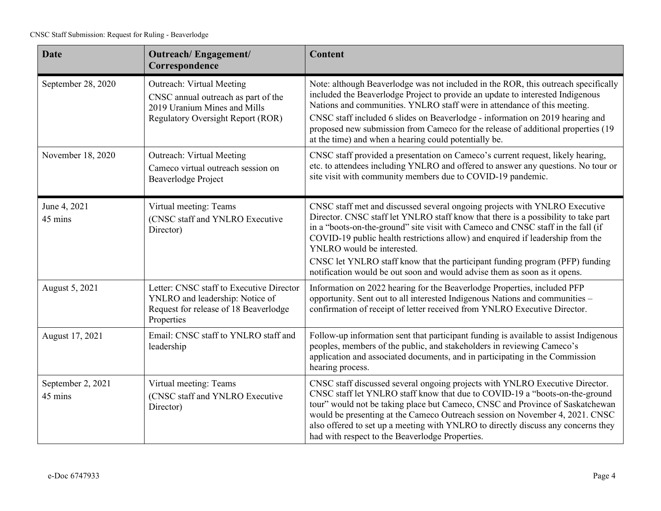| <b>Date</b>                  | Outreach/Engagement/<br>Correspondence                                                                                                       | <b>Content</b>                                                                                                                                                                                                                                                                                                                                                                                                                                                                                                                    |
|------------------------------|----------------------------------------------------------------------------------------------------------------------------------------------|-----------------------------------------------------------------------------------------------------------------------------------------------------------------------------------------------------------------------------------------------------------------------------------------------------------------------------------------------------------------------------------------------------------------------------------------------------------------------------------------------------------------------------------|
| September 28, 2020           | Outreach: Virtual Meeting<br>CNSC annual outreach as part of the<br>2019 Uranium Mines and Mills<br><b>Regulatory Oversight Report (ROR)</b> | Note: although Beaverlodge was not included in the ROR, this outreach specifically<br>included the Beaverlodge Project to provide an update to interested Indigenous<br>Nations and communities. YNLRO staff were in attendance of this meeting.<br>CNSC staff included 6 slides on Beaverlodge - information on 2019 hearing and<br>proposed new submission from Cameco for the release of additional properties (19<br>at the time) and when a hearing could potentially be.                                                    |
| November 18, 2020            | Outreach: Virtual Meeting<br>Cameco virtual outreach session on<br>Beaverlodge Project                                                       | CNSC staff provided a presentation on Cameco's current request, likely hearing,<br>etc. to attendees including YNLRO and offered to answer any questions. No tour or<br>site visit with community members due to COVID-19 pandemic.                                                                                                                                                                                                                                                                                               |
| June 4, 2021<br>45 mins      | Virtual meeting: Teams<br>(CNSC staff and YNLRO Executive<br>Director)                                                                       | CNSC staff met and discussed several ongoing projects with YNLRO Executive<br>Director. CNSC staff let YNLRO staff know that there is a possibility to take part<br>in a "boots-on-the-ground" site visit with Cameco and CNSC staff in the fall (if<br>COVID-19 public health restrictions allow) and enquired if leadership from the<br>YNLRO would be interested.<br>CNSC let YNLRO staff know that the participant funding program (PFP) funding<br>notification would be out soon and would advise them as soon as it opens. |
| August 5, 2021               | Letter: CNSC staff to Executive Director<br>YNLRO and leadership: Notice of<br>Request for release of 18 Beaverlodge<br>Properties           | Information on 2022 hearing for the Beaverlodge Properties, included PFP<br>opportunity. Sent out to all interested Indigenous Nations and communities -<br>confirmation of receipt of letter received from YNLRO Executive Director.                                                                                                                                                                                                                                                                                             |
| August 17, 2021              | Email: CNSC staff to YNLRO staff and<br>leadership                                                                                           | Follow-up information sent that participant funding is available to assist Indigenous<br>peoples, members of the public, and stakeholders in reviewing Cameco's<br>application and associated documents, and in participating in the Commission<br>hearing process.                                                                                                                                                                                                                                                               |
| September 2, 2021<br>45 mins | Virtual meeting: Teams<br>(CNSC staff and YNLRO Executive<br>Director)                                                                       | CNSC staff discussed several ongoing projects with YNLRO Executive Director.<br>CNSC staff let YNLRO staff know that due to COVID-19 a "boots-on-the-ground<br>tour" would not be taking place but Cameco, CNSC and Province of Saskatchewan<br>would be presenting at the Cameco Outreach session on November 4, 2021. CNSC<br>also offered to set up a meeting with YNLRO to directly discuss any concerns they<br>had with respect to the Beaverlodge Properties.                                                              |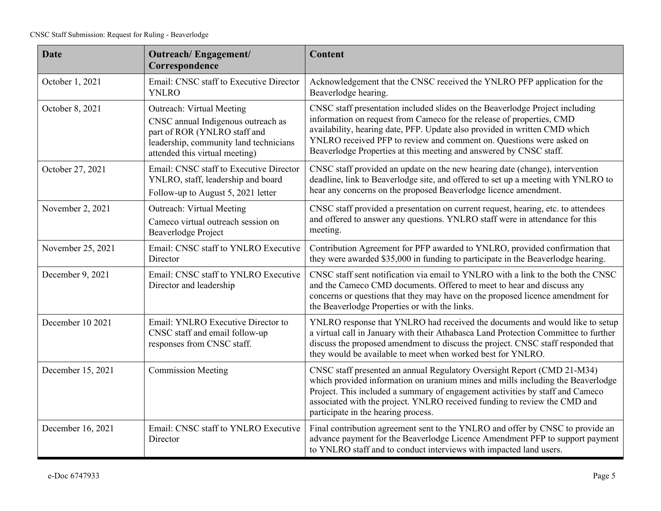| <b>Date</b>       | Outreach/Engagement/<br>Correspondence                                                                                                                                      | <b>Content</b>                                                                                                                                                                                                                                                                                                                                                                    |
|-------------------|-----------------------------------------------------------------------------------------------------------------------------------------------------------------------------|-----------------------------------------------------------------------------------------------------------------------------------------------------------------------------------------------------------------------------------------------------------------------------------------------------------------------------------------------------------------------------------|
| October 1, 2021   | Email: CNSC staff to Executive Director<br><b>YNLRO</b>                                                                                                                     | Acknowledgement that the CNSC received the YNLRO PFP application for the<br>Beaverlodge hearing.                                                                                                                                                                                                                                                                                  |
| October 8, 2021   | Outreach: Virtual Meeting<br>CNSC annual Indigenous outreach as<br>part of ROR (YNLRO staff and<br>leadership, community land technicians<br>attended this virtual meeting) | CNSC staff presentation included slides on the Beaverlodge Project including<br>information on request from Cameco for the release of properties, CMD<br>availability, hearing date, PFP. Update also provided in written CMD which<br>YNLRO received PFP to review and comment on. Questions were asked on<br>Beaverlodge Properties at this meeting and answered by CNSC staff. |
| October 27, 2021  | Email: CNSC staff to Executive Director<br>YNLRO, staff, leadership and board<br>Follow-up to August 5, 2021 letter                                                         | CNSC staff provided an update on the new hearing date (change), intervention<br>deadline, link to Beaverlodge site, and offered to set up a meeting with YNLRO to<br>hear any concerns on the proposed Beaverlodge licence amendment.                                                                                                                                             |
| November 2, 2021  | Outreach: Virtual Meeting<br>Cameco virtual outreach session on<br><b>Beaverlodge Project</b>                                                                               | CNSC staff provided a presentation on current request, hearing, etc. to attendees<br>and offered to answer any questions. YNLRO staff were in attendance for this<br>meeting.                                                                                                                                                                                                     |
| November 25, 2021 | Email: CNSC staff to YNLRO Executive<br>Director                                                                                                                            | Contribution Agreement for PFP awarded to YNLRO, provided confirmation that<br>they were awarded \$35,000 in funding to participate in the Beaverlodge hearing.                                                                                                                                                                                                                   |
| December 9, 2021  | Email: CNSC staff to YNLRO Executive<br>Director and leadership                                                                                                             | CNSC staff sent notification via email to YNLRO with a link to the both the CNSC<br>and the Cameco CMD documents. Offered to meet to hear and discuss any<br>concerns or questions that they may have on the proposed licence amendment for<br>the Beaverlodge Properties or with the links.                                                                                      |
| December 10 2021  | Email: YNLRO Executive Director to<br>CNSC staff and email follow-up<br>responses from CNSC staff.                                                                          | YNLRO response that YNLRO had received the documents and would like to setup<br>a virtual call in January with their Athabasca Land Protection Committee to further<br>discuss the proposed amendment to discuss the project. CNSC staff responded that<br>they would be available to meet when worked best for YNLRO.                                                            |
| December 15, 2021 | <b>Commission Meeting</b>                                                                                                                                                   | CNSC staff presented an annual Regulatory Oversight Report (CMD 21-M34)<br>which provided information on uranium mines and mills including the Beaverlodge<br>Project. This included a summary of engagement activities by staff and Cameco<br>associated with the project. YNLRO received funding to review the CMD and<br>participate in the hearing process.                   |
| December 16, 2021 | Email: CNSC staff to YNLRO Executive<br>Director                                                                                                                            | Final contribution agreement sent to the YNLRO and offer by CNSC to provide an<br>advance payment for the Beaverlodge Licence Amendment PFP to support payment<br>to YNLRO staff and to conduct interviews with impacted land users.                                                                                                                                              |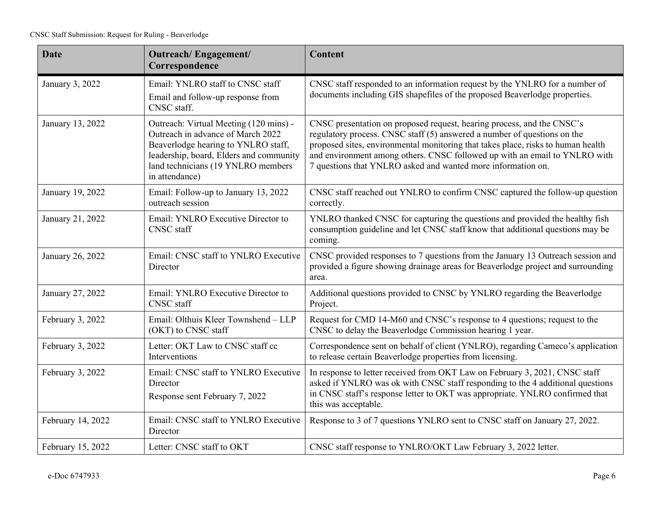| <b>Date</b>       | <b>Outreach/Engagement/</b><br>Correspondence                                                                                                                                                                         | <b>Content</b>                                                                                                                                                                                                                                                                                                                                                                       |
|-------------------|-----------------------------------------------------------------------------------------------------------------------------------------------------------------------------------------------------------------------|--------------------------------------------------------------------------------------------------------------------------------------------------------------------------------------------------------------------------------------------------------------------------------------------------------------------------------------------------------------------------------------|
| January 3, 2022   | Email: YNLRO staff to CNSC staff<br>Email and follow-up response from<br>CNSC staff.                                                                                                                                  | CNSC staff responded to an information request by the YNLRO for a number of<br>documents including GIS shapefiles of the proposed Beaverlodge properties.                                                                                                                                                                                                                            |
| January 13, 2022  | Outreach: Virtual Meeting (120 mins) -<br>Outreach in advance of March 2022<br>Beaverlodge hearing to YNLRO staff,<br>leadership, board, Elders and community<br>land technicians (19 YNLRO members<br>in attendance) | CNSC presentation on proposed request, hearing process, and the CNSC's<br>regulatory process. CNSC staff (5) answered a number of questions on the<br>proposed sites, environmental monitoring that takes place, risks to human health<br>and environment among others. CNSC followed up with an email to YNLRO with<br>7 questions that YNLRO asked and wanted more information on. |
| January 19, 2022  | Email: Follow-up to January 13, 2022<br>outreach session                                                                                                                                                              | CNSC staff reached out YNLRO to confirm CNSC captured the follow-up question<br>correctly.                                                                                                                                                                                                                                                                                           |
| January 21, 2022  | Email: YNLRO Executive Director to<br><b>CNSC</b> staff                                                                                                                                                               | YNLRO thanked CNSC for capturing the questions and provided the healthy fish<br>consumption guideline and let CNSC staff know that additional questions may be<br>coming.                                                                                                                                                                                                            |
| January 26, 2022  | Email: CNSC staff to YNLRO Executive<br>Director                                                                                                                                                                      | CNSC provided responses to 7 questions from the January 13 Outreach session and<br>provided a figure showing drainage areas for Beaverlodge project and surrounding<br>area.                                                                                                                                                                                                         |
| January 27, 2022  | Email: YNLRO Executive Director to<br><b>CNSC</b> staff                                                                                                                                                               | Additional questions provided to CNSC by YNLRO regarding the Beaverlodge<br>Project.                                                                                                                                                                                                                                                                                                 |
| February 3, 2022  | Email: Olthuis Kleer Townshend - LLP<br>(OKT) to CNSC staff                                                                                                                                                           | Request for CMD 14-M60 and CNSC's response to 4 questions; request to the<br>CNSC to delay the Beaverlodge Commission hearing 1 year.                                                                                                                                                                                                                                                |
| February 3, 2022  | Letter: OKT Law to CNSC staff cc<br>Interventions                                                                                                                                                                     | Correspondence sent on behalf of client (YNLRO), regarding Cameco's application<br>to release certain Beaverlodge properties from licensing.                                                                                                                                                                                                                                         |
| February 3, 2022  | Email: CNSC staff to YNLRO Executive<br>Director<br>Response sent February 7, 2022                                                                                                                                    | In response to letter received from OKT Law on February 3, 2021, CNSC staff<br>asked if YNLRO was ok with CNSC staff responding to the 4 additional questions<br>in CNSC staff's response letter to OKT was appropriate. YNLRO confirmed that<br>this was acceptable.                                                                                                                |
| February 14, 2022 | Email: CNSC staff to YNLRO Executive<br>Director                                                                                                                                                                      | Response to 3 of 7 questions YNLRO sent to CNSC staff on January 27, 2022.                                                                                                                                                                                                                                                                                                           |
| February 15, 2022 | Letter: CNSC staff to OKT                                                                                                                                                                                             | CNSC staff response to YNLRO/OKT Law February 3, 2022 letter.                                                                                                                                                                                                                                                                                                                        |